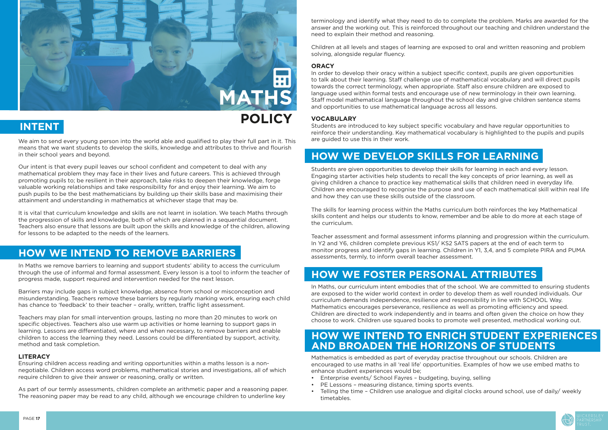

We aim to send every young person into the world able and qualified to play their full part in it. This means that we want students to develop the skills, knowledge and attributes to thrive and flourish in their school years and beyond.

Our intent is that every pupil leaves our school confident and competent to deal with any mathematical problem they may face in their lives and future careers. This is achieved through promoting pupils to; be resilient in their approach, take risks to deepen their knowledge, forge valuable working relationships and take responsibility for and enjoy their learning. We aim to push pupils to be the best mathematicians by building up their skills base and maximising their attainment and understanding in mathematics at whichever stage that may be.

It is vital that curriculum knowledge and skills are not learnt in isolation. We teach Maths through the progression of skills and knowledge, both of which are planned in a sequential document. Teachers also ensure that lessons are built upon the skills and knowledge of the children, allowing for lessons to be adapted to the needs of the learners.

In Maths we remove barriers to learning and support students' ability to access the curriculum through the use of informal and formal assessment. Every lesson is a tool to inform the teacher of progress made, support required and intervention needed for the next lesson.

Barriers may include gaps in subject knowledge, absence from school or misconception and misunderstanding. Teachers remove these barriers by regularly marking work, ensuring each child has chance to 'feedback' to their teacher – orally, written, traffic light assessment.

Teachers may plan for small intervention groups, lasting no more than 20 minutes to work on specific objectives. Teachers also use warm up activities or home learning to support gaps in learning. Lessons are differentiated, where and when necessary, to remove barriers and enable children to access the learning they need. Lessons could be differentiated by support, activity, method and task completion.

### **LITERACY**

Ensuring children access reading and writing opportunities within a maths lesson is a nonnegotiable. Children access word problems, mathematical stories and investigations, all of which require children to give their answer or reasoning, orally or written.

As part of our termly assessments, children complete an arithmetic paper and a reasoning paper. The reasoning paper may be read to any child, although we encourage children to underline key



### **HOW WE INTEND TO REMOVE BARRIERS**

terminology and identify what they need to do to complete the problem. Marks are awarded for the answer and the working out. This is reinforced throughout our teaching and children understand the need to explain their method and reasoning.

Children at all levels and stages of learning are exposed to oral and written reasoning and problem solving, alongside regular fluency.

### **ORACY**

In order to develop their oracy within a subject specific context, pupils are given opportunities to talk about their learning. Staff challenge use of mathematical vocabulary and will direct pupils towards the correct terminology, when appropriate. Staff also ensure children are exposed to language used within formal tests and encourage use of new terminology in their own learning. Staff model mathematical language throughout the school day and give children sentence stems and opportunities to use mathematical language across all lessons.

### **VOCABULARY**

Students are introduced to key subject specific vocabulary and have regular opportunities to reinforce their understanding. Key mathematical vocabulary is highlighted to the pupils and pupils are guided to use this in their work.

Students are given opportunities to develop their skills for learning in each and every lesson. Engaging starter activities help students to recall the key concepts of prior learning, as well as giving children a chance to practice key mathematical skills that children need in everyday life. Children are encouraged to recognise the purpose and use of each mathematical skill within real life and how they can use these skills outside of the classroom.

The skills for learning process within the Maths curriculum both reinforces the key Mathematical skills content and helps our students to know, remember and be able to do more at each stage of the curriculum.

Teacher assessment and formal assessment informs planning and progression within the curriculum. In Y2 and Y6, children complete previous KS1/ KS2 SATS papers at the end of each term to monitor progress and identify gaps in learning. Children in Y1, 3,4, and 5 complete PIRA and PUMA assessments, termly, to inform overall teacher assessment.

In Maths, our curriculum intent embodies that of the school. We are committed to ensuring students are exposed to the wider world context in order to develop them as well rounded individuals. Our curriculum demands independence, resilience and responsibility in line with SCHOOL Way. Mathematics encourages perseverance, resilience as well as promoting efficiency and speed. Children are directed to work independently and in teams and often given the choice on how they choose to work. Children use squared books to promote well presented, methodical working out.

Mathematics is embedded as part of everyday practise throughout our schools. Children are encouraged to use maths in all 'real life' opportunities. Examples of how we use embed maths to enhance student experiences would be;

- Enterprise events/ School Fayres budgeting, buying, selling
- PE Lessons measuring distance, timing sports events.
- Telling the time Children use analogue and digital clocks around school, use of daily/ weekly timetables.

# **HOW WE DEVELOP SKILLS FOR LEARNING**

## **HOW WE FOSTER PERSONAL ATTRIBUTES**

### **HOW WE INTEND TO ENRICH STUDENT EXPERIENCES AND BROADEN THE HORIZONS OF STUDENTS**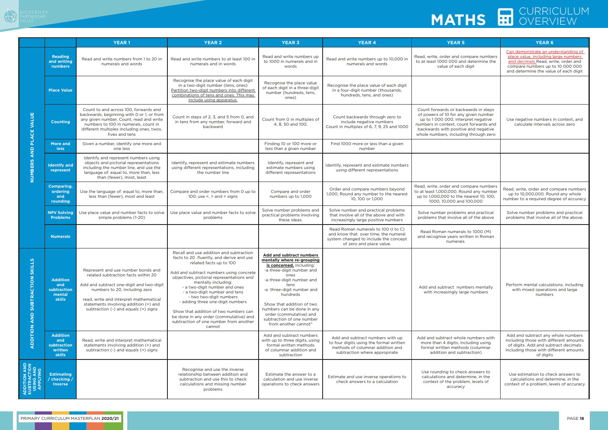a a T

### CURRICULUM **MATHS ED OVERVIEW**

|                                                                |                                                                   | <b>YEAR1</b>                                                                                                                                                                                                                                                                      | <b>YEAR 2</b>                                                                                                                                                                                                                                                                                                                                                                                                                                                                                         | <b>YEAR 3</b>                                                                                                                                                                                                                                                                                                                                           | <b>YEAR 4</b>                                                                                                                                    | <b>YEAR 5</b>                                                                                                                                                                                                                                 | <b>YEAR 6</b>                                                                                                                                                                                   |
|----------------------------------------------------------------|-------------------------------------------------------------------|-----------------------------------------------------------------------------------------------------------------------------------------------------------------------------------------------------------------------------------------------------------------------------------|-------------------------------------------------------------------------------------------------------------------------------------------------------------------------------------------------------------------------------------------------------------------------------------------------------------------------------------------------------------------------------------------------------------------------------------------------------------------------------------------------------|---------------------------------------------------------------------------------------------------------------------------------------------------------------------------------------------------------------------------------------------------------------------------------------------------------------------------------------------------------|--------------------------------------------------------------------------------------------------------------------------------------------------|-----------------------------------------------------------------------------------------------------------------------------------------------------------------------------------------------------------------------------------------------|-------------------------------------------------------------------------------------------------------------------------------------------------------------------------------------------------|
| VALUE<br><b>ACE</b>                                            | <b>Reading</b><br>and writing<br>numbers                          | Read and write numbers from 1 to 20 in<br>numerals and words                                                                                                                                                                                                                      | Read and write numbers to at least 100 in<br>numerals and in words                                                                                                                                                                                                                                                                                                                                                                                                                                    | Read and write numbers up<br>to 1000 in numerals and in<br>words                                                                                                                                                                                                                                                                                        | Read and write numbers up to 10,000 in<br>numerals and words                                                                                     | Read, write, order and compare numbers<br>to at least 1000 000 and determine the<br>value of each digit                                                                                                                                       | Can demonstrate an understanding of<br>place value, including large numbers<br>and decimals Read, write, order and<br>compare numbers up to 10 000 000<br>and determine the value of each digit |
|                                                                | <b>Place Value</b>                                                |                                                                                                                                                                                                                                                                                   | Recognise the place value of each digit<br>in a two-digit number (tens, ones)<br>Partition two-digit numbers into different<br>combinations of tens and ones. This may<br>include using apparatus.                                                                                                                                                                                                                                                                                                    | Recognise the place value<br>of each digit in a three-digit<br>number (hundreds, tens,<br>ones)                                                                                                                                                                                                                                                         | Recognise the place value of each digit<br>in a four-digit number (thousands,<br>hundreds, tens, and ones)                                       |                                                                                                                                                                                                                                               |                                                                                                                                                                                                 |
|                                                                | <b>Counting</b>                                                   | Count to and across 100, forwards and<br>backwards, beginning with 0 or 1, or from<br>any given number. Count, read and write<br>numbers to 100 in numerals, count in<br>different multiples including ones, twos,<br>fives and tens                                              | Count in steps of 2, 3, and 5 from 0, and<br>in tens from any number, forward and<br>backward                                                                                                                                                                                                                                                                                                                                                                                                         | Count from 0 in multiples of<br>4, 8, 50 and 100;                                                                                                                                                                                                                                                                                                       | Count backwards through zero to<br>include negative numbers<br>Count in multiples of 6, 7, 9, 25 and 1000                                        | Count forwards or backwards in steps<br>of powers of 10 for any given number<br>up to 1000 000. Interpret negative<br>numbers in context, count forwards and<br>backwards with positive and negative<br>whole numbers, including through zero | Use negative numbers in context, and<br>calculate intervals across zero                                                                                                                         |
| 효<br>RND                                                       | <b>More and</b><br><b>less</b>                                    | Given a number, identify one more and<br>one less                                                                                                                                                                                                                                 |                                                                                                                                                                                                                                                                                                                                                                                                                                                                                                       | Finding 10 or 100 more or<br>less than a given number                                                                                                                                                                                                                                                                                                   | Find 1000 more or less than a given<br>number                                                                                                    |                                                                                                                                                                                                                                               |                                                                                                                                                                                                 |
| <b>NUMBERS</b>                                                 | <b>Identify and</b><br>represent                                  | Identify and represent numbers using<br>objects and pictorial representations<br>including the number line, and use the<br>language of: equal to, more than, less<br>than (fewer), most, least                                                                                    | Identify, represent and estimate numbers<br>using different representations, including<br>the number line                                                                                                                                                                                                                                                                                                                                                                                             | Identify, represent and<br>estimate numbers using<br>different representations                                                                                                                                                                                                                                                                          | Identify, represent and estimate numbers<br>using different representations                                                                      |                                                                                                                                                                                                                                               |                                                                                                                                                                                                 |
|                                                                | <b>Comparing,</b><br>ordering<br>and<br>rounding                  | Use the language of: equal to, more than,<br>less than (fewer), most and least                                                                                                                                                                                                    | Compare and order numbers from 0 up to<br>100; use $\leq$ , $>$ and = signs                                                                                                                                                                                                                                                                                                                                                                                                                           | Compare and order<br>numbers up to 1,000                                                                                                                                                                                                                                                                                                                | Order and compare numbers beyond<br>1,000. Round any number to the nearest<br>10, 100 or 1,000                                                   | Read, write, order and compare numbers<br>to at least 1,000,000. Round any number<br>up to 1,000,000 to the nearest 10, 100,<br>1000, 10,000 and 100,000                                                                                      | Read, write, order and compare numbers<br>up to 10,000,000. Round any whole<br>number to a required degree of accuracy                                                                          |
|                                                                | <b>NPV Solving</b><br><b>Problems</b>                             | Use place value and number facts to solve<br>simple problems (1-20)                                                                                                                                                                                                               | Use place value and number facts to solve<br>problems                                                                                                                                                                                                                                                                                                                                                                                                                                                 | Solve number problems and<br>practical problems involving<br>these ideas.                                                                                                                                                                                                                                                                               | Solve number and practical problems<br>that involve all of the above and with<br>increasingly large positive numbers                             | Solve number problems and practical<br>problems that involve all of the above                                                                                                                                                                 | Solve number problems and practical<br>problems that involve all of the above.                                                                                                                  |
|                                                                | <b>Numerals</b>                                                   |                                                                                                                                                                                                                                                                                   |                                                                                                                                                                                                                                                                                                                                                                                                                                                                                                       |                                                                                                                                                                                                                                                                                                                                                         | Read Roman numerals to 100 (I to C)<br>and know that over time, the numeral<br>system changed to include the concept<br>of zero and place value. | Read Roman numerals to 1000 (M)<br>and recognise years written in Roman<br>numerals.                                                                                                                                                          |                                                                                                                                                                                                 |
| <b>SC</b><br><b>SKIL</b><br>SUBTRACTION<br>$rac{D}{A}$         | <b>Addition</b><br>and<br>subtraction<br>mental<br><b>skills</b>  | Represent and use number bonds and<br>related subtraction facts within 20<br>Add and subtract one-digit and two-digit<br>numbers to 20, including zero<br>read, write and interpret mathematical<br>statements involving addition (+) and<br>subtraction (-) and equals (=) signs | Recall and use addition and subtraction<br>facts to 20 fluently, and derive and use<br>related facts up to 100<br>Add and subtract numbers using concrete<br>objectives, pictorial representations and<br>mentally including:<br>- a two-digit number and ones<br>- a two-digit number and tens<br>- two two-digit numbers<br>- adding three one-digit numbers<br>Show that addition of two numbers can<br>be done in any order (commutative) and<br>subtraction of one number from another<br>cannot | <b>Add and subtract numbers</b><br>mentally where re-grouping<br>is concerned, including:<br>-a three-digit number and<br>ones<br>-a three-digit number and<br>tens<br>-a three-digit number and<br>hundreds<br>Show that addition of two<br>numbers can be done in any<br>order (commutative) and<br>subtraction of one number<br>from another cannot" |                                                                                                                                                  | Add and subtract numbers mentally<br>with increasingly large numbers                                                                                                                                                                          | Perform mental calculations, including<br>with mixed operations and large<br>numbers                                                                                                            |
| ADDITION                                                       | <b>Addition</b><br>and<br>subtraction<br>written<br><b>skills</b> | Read, write and interpret mathematical<br>statements involving addition (+) and<br>subtraction (-) and equals (=) signs                                                                                                                                                           |                                                                                                                                                                                                                                                                                                                                                                                                                                                                                                       | Add and subtract numbers<br>with up to three digits, using<br>formal written methods<br>of columnar addition and<br>subtraction                                                                                                                                                                                                                         | Add and subtract numbers with up<br>to four digits using the formal written<br>methods of columnar addition and<br>subtraction where appropriate | Add and subtract whole numbers with<br>more than 4 digits, including using<br>formal written methods (columnar<br>addition and subtraction)                                                                                                   | Add and subtract any whole numbers<br>including those with different amounts<br>of digits. Add and subtract decimals<br>including those with different amounts<br>of digits                     |
| <b>ADDITION AND<br/>SUBTRACTION<br/>USING AND<br/>APPLYING</b> | <b>Estimating</b><br>/ checking<br><b>Inverse</b>                 |                                                                                                                                                                                                                                                                                   | Recognise and use the inverse<br>relationship between addition and<br>subtraction and use this to check<br>calculations and missing number<br>problems                                                                                                                                                                                                                                                                                                                                                | Estimate the answer to a<br>calculation and use inverse<br>operations to check answers                                                                                                                                                                                                                                                                  | Estimate and use inverse operations to<br>check answers to a calculation                                                                         | Use rounding to check answers to<br>calculations and determine, in the<br>context of the problem, levels of<br>accuracy                                                                                                                       | Use estimation to check answers to<br>calculations and determine, in the<br>context of a problem, levels of accuracy                                                                            |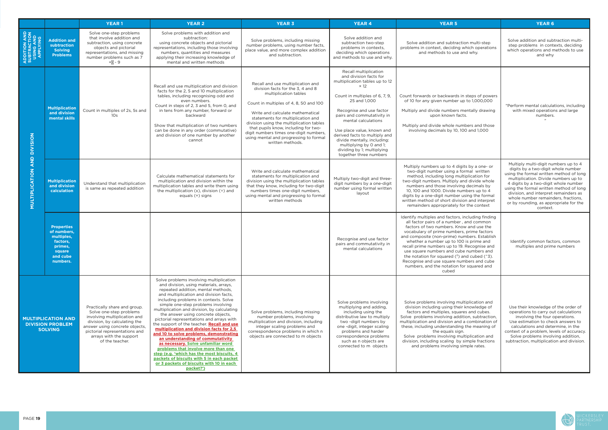

|                                                                        |                                                                                                         | <b>YEAR1</b>                                                                                                                                                                                                                             | <b>YEAR 2</b>                                                                                                                                                                                                                                                                                                                                                                                                                                                                                                                                                                                                                                                                                                                                                                                   | <b>YEAR 3</b>                                                                                                                                                                                                                                                                                                                                                                                                  | <b>YEAR 4</b>                                                                                                                                                                                                                                                                                                                                                                                                        | <b>YEAR 5</b>                                                                                                                                                                                                                                                                                                                                                                                                                                                                                                                          | <b>YEAR 6</b>                                                                                                                                                                                                                                                                                                                                                                          |
|------------------------------------------------------------------------|---------------------------------------------------------------------------------------------------------|------------------------------------------------------------------------------------------------------------------------------------------------------------------------------------------------------------------------------------------|-------------------------------------------------------------------------------------------------------------------------------------------------------------------------------------------------------------------------------------------------------------------------------------------------------------------------------------------------------------------------------------------------------------------------------------------------------------------------------------------------------------------------------------------------------------------------------------------------------------------------------------------------------------------------------------------------------------------------------------------------------------------------------------------------|----------------------------------------------------------------------------------------------------------------------------------------------------------------------------------------------------------------------------------------------------------------------------------------------------------------------------------------------------------------------------------------------------------------|----------------------------------------------------------------------------------------------------------------------------------------------------------------------------------------------------------------------------------------------------------------------------------------------------------------------------------------------------------------------------------------------------------------------|----------------------------------------------------------------------------------------------------------------------------------------------------------------------------------------------------------------------------------------------------------------------------------------------------------------------------------------------------------------------------------------------------------------------------------------------------------------------------------------------------------------------------------------|----------------------------------------------------------------------------------------------------------------------------------------------------------------------------------------------------------------------------------------------------------------------------------------------------------------------------------------------------------------------------------------|
| <b>ADDITION AND<br/>SUBTRACTION<br/>USING AND<br/>APPLYING</b>         | <b>Addition and</b><br>subtraction<br><b>Solving</b><br><b>Problems</b>                                 | Solve one-step problems<br>that involve addition and<br>subtraction, using concrete<br>objects and pictorial<br>representations, and missing<br>number problems such as 7<br>$= -9$                                                      | Solve problems with addition and<br>subtraction:<br>using concrete objects and pictorial<br>representations, including those involving<br>numbers, quantities and measures<br>applying their increasing knowledge of<br>mental and written methods                                                                                                                                                                                                                                                                                                                                                                                                                                                                                                                                              | Solve problems, including missing<br>number problems, using number facts,<br>place value, and more complex addition<br>and subtraction.                                                                                                                                                                                                                                                                        | Solve addition and<br>subtraction two-step<br>problems in contexts,<br>deciding which operations<br>and methods to use and why.                                                                                                                                                                                                                                                                                      | Solve addition and subtraction multi-step<br>problems in context, deciding which operations<br>and methods to use and why.                                                                                                                                                                                                                                                                                                                                                                                                             | Solve addition and subtraction multi-<br>step problems in contexts, deciding<br>which operations and methods to use<br>and why                                                                                                                                                                                                                                                         |
| <b>AND DIVISION</b><br>MULTIPLICATION                                  | <b>Multiplication</b><br>and division<br>mental skills                                                  | Count in multiples of 2s, 5s and<br>10 <sub>s</sub>                                                                                                                                                                                      | Recall and use multiplication and division<br>facts for the 2, 5 and 10 multiplication<br>tables, including recognising odd and<br>even numbers.<br>Count in steps of 2, 3 and 5, from 0, and<br>in tens from any number, forward or<br>backward<br>Show that multiplication of two numbers<br>can be done in any order (commutative)<br>and division of one number by another<br>cannot                                                                                                                                                                                                                                                                                                                                                                                                        | Recall and use multiplication and<br>division facts for the 3, 4 and 8<br>multiplication tables<br>Count in multiples of 4, 8, 50 and 100<br>Write and calculate mathematical<br>statements for multiplication and<br>division using the multiplication tables<br>that pupils know, including for two-<br>digit numbers times one-digit numbers,<br>using mental and progressing to formal<br>written methods. | Recall multiplication<br>and division facts for<br>multiplication tables up to 12<br>$\times$ 12<br>Count in multiples of 6, 7, 9,<br>25 and 1,000<br>Recognise and use factor<br>pairs and commutativity in<br>mental calculations<br>Use place value, known and<br>derived facts to multiply and<br>divide mentally, including:<br>multiplying by 0 and 1;<br>dividing by 1; multiplying<br>together three numbers | Count forwards or backwards in steps of powers<br>of 10 for any given number up to 1,000,000<br>Multiply and divide numbers mentally drawing<br>upon known facts.<br>Multiply and divide whole numbers and those<br>involving decimals by 10, 100 and 1,000                                                                                                                                                                                                                                                                            | "Perform mental calculations, including<br>with mixed operations and large<br>numbers.                                                                                                                                                                                                                                                                                                 |
|                                                                        | <b>Multiplication</b><br>and division<br>calculation                                                    | Understand that multiplication<br>is same as repeated addition                                                                                                                                                                           | Calculate mathematical statements for<br>multiplication and division within the<br>multiplication tables and write them using<br>the multiplication $(x)$ , division $(\div)$ and<br>equals (=) signs                                                                                                                                                                                                                                                                                                                                                                                                                                                                                                                                                                                           | Write and calculate mathematical<br>statements for multiplication and<br>division using the multiplication tables<br>that they know, including for two-digit<br>numbers times one-digit numbers,<br>using mental and progressing to formal<br>written methods                                                                                                                                                  | Multiply two-digit and three-<br>digit numbers by a one-digit<br>number using formal written<br>layout                                                                                                                                                                                                                                                                                                               | Multiply numbers up to 4 digits by a one- or<br>two-digit number using a formal written<br>method, including long multiplication for<br>two-digit numbers. Multiply and divide whole<br>numbers and those involving decimals by<br>10, 100 and 1000. Divide numbers up to 4<br>digits by a one-digit number using the formal<br>written method of short division and interpret<br>remainders appropriately for the context                                                                                                             | Multiply multi-digit numbers up to 4<br>digits by a two-digit whole number<br>using the formal written method of long<br>multiplication. Divide numbers up to<br>4 digits by a two-digit whole number<br>using the formal written method of long<br>division, and interpret remainders as<br>whole number remainders, fractions,<br>or by rounding, as appropriate for the<br>context. |
|                                                                        | <b>Properties</b><br>of numbers,<br>multiples,<br>factors,<br>prımes,<br>square<br>and cube<br>numbers. |                                                                                                                                                                                                                                          |                                                                                                                                                                                                                                                                                                                                                                                                                                                                                                                                                                                                                                                                                                                                                                                                 |                                                                                                                                                                                                                                                                                                                                                                                                                | Recognise and use factor<br>pairs and commutativity in<br>mental calculations                                                                                                                                                                                                                                                                                                                                        | Identify multiples and factors, including finding<br>all factor pairs of a number, and common<br>factors of two numbers. Know and use the<br>vocabulary of prime numbers, prime factors<br>and composite (non-prime) numbers. Establish<br>whether a number up to 100 is prime and<br>recall prime numbers up to 19. Recognise and<br>use square numbers and cube numbers and<br>the notation for squared $(^2)$ and cubed $(^3)$ .<br>Recognise and use square numbers and cube<br>numbers, and the notation for squared and<br>cubed | Identify common factors, common<br>multiples and prime numbers                                                                                                                                                                                                                                                                                                                         |
| <b>MULTIPLICATION AND</b><br><b>DIVISION PROBLEM</b><br><b>SOLVING</b> |                                                                                                         | Practically share and group.<br>Solve one-step problems<br>involving multiplication and<br>division, by calculating the<br>answer using concrete objects,<br>pictorial representations and<br>arrays with the support<br>of the teacher. | Solve problems involving multiplication<br>and division, using materials, arrays,<br>repeated addition, mental methods,<br>and multiplication and division facts,<br>including problems in contexts. Solve<br>simple one-step problems involving<br>multiplication and division, by calculating<br>the answer using concrete objects,<br>pictorial representations and arrays with<br>the support of the teacher. Recall and use<br>multiplication and division facts for 2,5<br>and 10 to solve problems, demonstrating<br>an understanding of commutativity<br>as necessary. Solve unfamiliar word<br>problems that involve more than one<br>step (e.g. 'which has the most biscuits, 4<br>packets of biscuits with 5 in each packet<br>or 3 packets of biscuits with 10 in each<br>packet?') | Solve problems, including missing<br>number problems, involving<br>multiplication and division, including<br>integer scaling problems and<br>correspondence problems in which n<br>objects are connected to m objects                                                                                                                                                                                          | Solve problems involving<br>multiplying and adding,<br>including using the<br>distributive law to multiply<br>two -digit numbers by<br>one -digit, integer scaling<br>problems and harder<br>correspondence problems<br>such as n objects are<br>connected to m objects                                                                                                                                              | Solve problems involving multiplication and<br>division including using their knowledge of<br>factors and multiples, squares and cubes.<br>Solve problems involving addition, subtraction,<br>multiplication and division and a combination of<br>these, including understanding the meaning of<br>the equals sign.<br>Solve problems involving multiplication and<br>division, including scaling by simple fractions<br>and problems involving simple rates.                                                                          | Use their knowledge of the order of<br>operations to carry out calculations<br>involving the four operations.<br>Use estimation to check answers to<br>calculations and determine, in the<br>context of a problem, levels of accuracy.<br>Solve problems involving addition,<br>subtraction, multiplication and division.                                                              |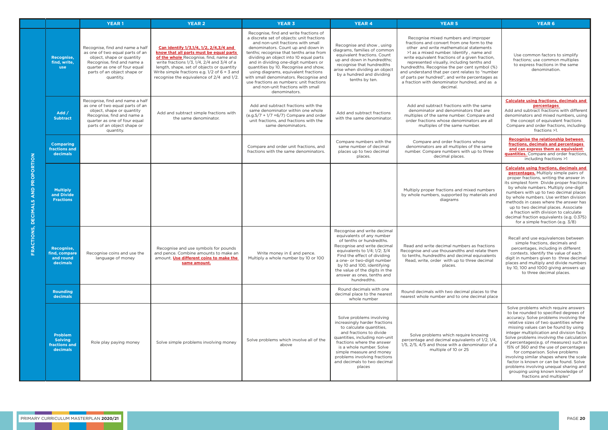|                                                              |                                                               | <b>YEAR1</b>                                                                                                                                                                                              | <b>YEAR 2</b>                                                                                                                                                                                                                                                                                                                   | <b>YEAR 3</b>                                                                                                                                                                                                                                                                                                                                                                                                                                                                                                             | <b>YEAR 4</b>                                                                                                                                                                                                                                                                                                                         | <b>YEAR 5</b>                                                                                                                                                                                                                                                                                                                                                                                                                                                                                  | <b>YEAR 6</b>                                                                                                                                                                                                                                                                                                                                                                                                                                                                                                                                                                                                              |
|--------------------------------------------------------------|---------------------------------------------------------------|-----------------------------------------------------------------------------------------------------------------------------------------------------------------------------------------------------------|---------------------------------------------------------------------------------------------------------------------------------------------------------------------------------------------------------------------------------------------------------------------------------------------------------------------------------|---------------------------------------------------------------------------------------------------------------------------------------------------------------------------------------------------------------------------------------------------------------------------------------------------------------------------------------------------------------------------------------------------------------------------------------------------------------------------------------------------------------------------|---------------------------------------------------------------------------------------------------------------------------------------------------------------------------------------------------------------------------------------------------------------------------------------------------------------------------------------|------------------------------------------------------------------------------------------------------------------------------------------------------------------------------------------------------------------------------------------------------------------------------------------------------------------------------------------------------------------------------------------------------------------------------------------------------------------------------------------------|----------------------------------------------------------------------------------------------------------------------------------------------------------------------------------------------------------------------------------------------------------------------------------------------------------------------------------------------------------------------------------------------------------------------------------------------------------------------------------------------------------------------------------------------------------------------------------------------------------------------------|
|                                                              | Recognise,<br>find, write,<br><b>use</b>                      | Recognise, find and name a half<br>as one of two equal parts of an<br>object, shape or quantity<br>Recognise, find and name a<br>quarter as one of four equal<br>parts of an object shape or<br>quantity. | Can identify 1/3,1/4, 1/2, 2/4,3/4 and<br>know that all parts must be equal parts<br>of the whole Recognise, find, name and<br>write fractions $1/3$ , $1/4$ , $2/4$ and $3/4$ of a<br>length, shape, set of objects or quantity<br>Write simple fractions e.g. $1/2$ of 6 = 3 and<br>recognise the equivalence of 2/4 and 1/2. | Recognise, find and write fractions of<br>a discrete set of objects: unit fractions<br>and non-unit fractions with small<br>denominators. Count up and down in<br>tenths; recognise that tenths arise from<br>dividing an object into 10 equal parts<br>and in dividing one-digit numbers or<br>quantities by 10. Recognise and show,<br>using diagrams, equivalent fractions<br>with small denominators. Recognise and<br>use fractions as numbers: unit fractions<br>and non-unit fractions with small<br>denominators. | Recognise and show, using<br>diagrams, families of common<br>equivalent fractions. Count<br>up and down in hundredths;<br>recognise that hundredths<br>arise when dividing an object<br>by a hundred and dividing<br>tenths by ten.                                                                                                   | Recognise mixed numbers and improper<br>fractions and convert from one form to the<br>other and write mathematical statements<br>>1 as a mixed number. Identify, name and<br>write equivalent fractions of a given fraction,<br>represented visually, including tenths and<br>hundredths. Recognise the per cent symbol (%)<br>and understand that per cent relates to "number<br>of parts per hundred", and write percentages as<br>a fraction with denominator hundred, and as a<br>decimal. | Use common factors to simplify<br>fractions; use common multiples<br>to express fractions in the same<br>denomination.                                                                                                                                                                                                                                                                                                                                                                                                                                                                                                     |
|                                                              | Add /<br><b>Subtract</b>                                      | Recognise, find and name a half<br>as one of two equal parts of an<br>object, shape or quantity<br>Recognise, find and name a<br>quarter as one of four equal<br>parts of an object shape or<br>quantity. | Add and subtract simple fractions with<br>the same denominator.                                                                                                                                                                                                                                                                 | Add and subtract fractions with the<br>same denominator within one whole<br>$(e.g.5/7 + 1/7 = 6/7)$ Compare and order<br>unit fractions, and fractions with the<br>same denominators.                                                                                                                                                                                                                                                                                                                                     | Add and subtract fractions<br>with the same denominator.                                                                                                                                                                                                                                                                              | Add and subtract fractions with the same<br>denominator and denominators that are<br>multiples of the same number. Compare and<br>order fractions whose denominators are all<br>multiples of the same number.                                                                                                                                                                                                                                                                                  | <b>Calculate using fractions, decimals and</b><br>percentages<br>Add and subtract fractions with different<br>denominators and mixed numbers, using<br>the concept of equivalent fractions<br>Compare and order fractions, including<br>fractions >1.                                                                                                                                                                                                                                                                                                                                                                      |
|                                                              | <b>Comparing</b><br>fractions and<br>decimals                 |                                                                                                                                                                                                           |                                                                                                                                                                                                                                                                                                                                 | Compare and order unit fractions, and<br>fractions with the same denominators.                                                                                                                                                                                                                                                                                                                                                                                                                                            | Compare numbers with the<br>same number of decimal<br>places up to two decimal<br>places.                                                                                                                                                                                                                                             | Compare and order fractions whose<br>denominators are all multiples of the same<br>number. Compare numbers with up to three<br>decimal places.                                                                                                                                                                                                                                                                                                                                                 | <b>Recognise the relationship between</b><br>fractions, decimals and percentages<br>and can express them as equivalent<br>quantities. Compare and order fractions,<br>including fractions >1                                                                                                                                                                                                                                                                                                                                                                                                                               |
| AND PROPORTION<br><b>DECIMALS</b><br>CTIONS,<br>$\mathbf{R}$ | <b>Multiply</b><br>and Divide<br><b>Fractions</b>             |                                                                                                                                                                                                           |                                                                                                                                                                                                                                                                                                                                 |                                                                                                                                                                                                                                                                                                                                                                                                                                                                                                                           |                                                                                                                                                                                                                                                                                                                                       | Multiply proper fractions and mixed numbers<br>by whole numbers, supported by materials and<br>diagrams                                                                                                                                                                                                                                                                                                                                                                                        | <b>Calculate using fractions, decimals and</b><br>percentages. Multiply simple pairs of<br>proper fractions, writing the answer in<br>its simplest form Divide proper fractions<br>by whole numbers. Multiply one-digit<br>numbers with up to two decimal places<br>by whole numbers. Use written division<br>methods in cases where the answer has<br>up to two decimal places. Associate<br>a fraction with division to calculate<br>decimal fraction equivalents (e.g. 0.375)<br>for a simple fraction (e.g. 3/8)                                                                                                       |
|                                                              | Recognise,<br>find, compare<br>and round<br>decimals          | Recognise coins and use the<br>language of money                                                                                                                                                          | Recognise and use symbols for pounds<br>and pence. Combine amounts to make an<br>amount. Use different coins to make the<br>same amount.                                                                                                                                                                                        | Write money in £ and pence.<br>Multiply a whole number by 10 or 100                                                                                                                                                                                                                                                                                                                                                                                                                                                       | Recognise and write decimal<br>equivalents of any number<br>of tenths or hundredths.<br>Recognise and write decimal<br>equivalents to $1/4$ ; $1/2$ ; $3/4$<br>Find the effect of dividing<br>a one- or two-digit number<br>by 10 and 100, identifying<br>the value of the digits in the<br>answer as ones, tenths and<br>hundredths. | Read and write decimal numbers as fractions<br>Recognise and use thousandths and relate them<br>to tenths, hundredths and decimal equivalents<br>Read, write, order with up to three decimal<br>places.                                                                                                                                                                                                                                                                                        | Recall and use equivalences between<br>simple fractions, decimals and<br>percentages, including in different<br>contexts. Identify the value of each<br>digit in numbers given to three decimal<br>places and multiply and divide numbers<br>by 10, 100 and 1000 giving answers up<br>to three decimal places.                                                                                                                                                                                                                                                                                                             |
|                                                              | <b>Rounding</b><br>decimals                                   |                                                                                                                                                                                                           |                                                                                                                                                                                                                                                                                                                                 |                                                                                                                                                                                                                                                                                                                                                                                                                                                                                                                           | Round decimals with one<br>decimal place to the nearest<br>whole number                                                                                                                                                                                                                                                               | Round decimals with two decimal places to the<br>nearest whole number and to one decimal place                                                                                                                                                                                                                                                                                                                                                                                                 |                                                                                                                                                                                                                                                                                                                                                                                                                                                                                                                                                                                                                            |
|                                                              | <b>Problem</b><br><b>Solving</b><br>fractions and<br>decimals | Role play paying money                                                                                                                                                                                    | Solve simple problems involving money                                                                                                                                                                                                                                                                                           | Solve problems which involve all of the<br>above                                                                                                                                                                                                                                                                                                                                                                                                                                                                          | Solve problems involving<br>increasingly harder fractions<br>to calculate quantities,<br>and fractions to divide<br>quantities, including non-unit<br>fractions where the answer<br>is a whole number. Solve<br>simple measure and money<br>problems involving fractions<br>and decimals to two decimal<br>places                     | Solve problems which require knowing<br>percentage and decimal equivalents of 1/2, 1/4,<br>$1/5$ , $2/5$ , $4/5$ and those with a denominator of a<br>multiple of 10 or 25                                                                                                                                                                                                                                                                                                                     | Solve problems which require answers<br>to be rounded to specified degrees of<br>accuracy. Solve problems involving the<br>relative sizes of two quantities where<br>missing values can be found by using<br>integer multiplication and division facts<br>Solve problems involving the calculation<br>of percentages(e.g. of measures) such as<br>15% of 360 and the use of percentages<br>for comparison. Solve problems<br>involving similar shapes where the scale<br>factor is known or can be found. Solve<br>problems involving unequal sharing and<br>grouping using known knowledge of<br>fractions and multiples" |

- 11

a na k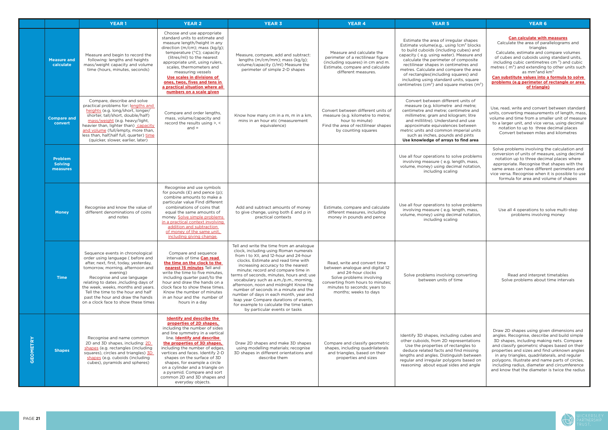

|                 |                                              | <b>YEAR1</b>                                                                                                                                                                                                                                                                                                                                                                                 | <b>YEAR 2</b>                                                                                                                                                                                                                                                                                                                                                                                                                                              | <b>YEAR 3</b>                                                                                                                                                                                                                                                                                                                                                                                                                                                                                                                                                                           | <b>YEAR 4</b>                                                                                                                                                                                                   | <b>YEAR 5</b>                                                                                                                                                                                                                                                                                                                                                                                                                                       | <b>YEAR 6</b>                                                                                                                                                                                                                                                                                                                                                                                                                                                   |
|-----------------|----------------------------------------------|----------------------------------------------------------------------------------------------------------------------------------------------------------------------------------------------------------------------------------------------------------------------------------------------------------------------------------------------------------------------------------------------|------------------------------------------------------------------------------------------------------------------------------------------------------------------------------------------------------------------------------------------------------------------------------------------------------------------------------------------------------------------------------------------------------------------------------------------------------------|-----------------------------------------------------------------------------------------------------------------------------------------------------------------------------------------------------------------------------------------------------------------------------------------------------------------------------------------------------------------------------------------------------------------------------------------------------------------------------------------------------------------------------------------------------------------------------------------|-----------------------------------------------------------------------------------------------------------------------------------------------------------------------------------------------------------------|-----------------------------------------------------------------------------------------------------------------------------------------------------------------------------------------------------------------------------------------------------------------------------------------------------------------------------------------------------------------------------------------------------------------------------------------------------|-----------------------------------------------------------------------------------------------------------------------------------------------------------------------------------------------------------------------------------------------------------------------------------------------------------------------------------------------------------------------------------------------------------------------------------------------------------------|
|                 | <b>Measure and</b><br>calculate              | Measure and begin to record the<br>following: lengths and heights<br>mass/weight capacity and volume<br>time (hours, minutes, seconds)                                                                                                                                                                                                                                                       | Choose and use appropriate<br>standard units to estimate and<br>measure length/height in any<br>direction ( $m/cm$ ); mass ( $kg/g$ );<br>temperature (°C); capacity<br>(litres/ml) to the nearest<br>appropriate unit, using rulers,<br>scales, thermometers and<br>measuring vessels<br>Use scales in divisions of<br>ones, twos, fives and tens in<br>a practical situation where all<br>numbers on a scale given                                       | Measure, compare, add and subtract:<br>lengths (m/cm/mm); mass (kg/g);<br>volume/capacity (I/ml) Measure the<br>perimeter of simple 2-D shapes                                                                                                                                                                                                                                                                                                                                                                                                                                          | Measure and calculate the<br>perimeter of a rectilinear figure<br>(including squares) in cm and m.<br>Estimate, compare and calculate<br>different measures.                                                    | Estimate the area of irregular shapes<br>Estimate volume(e.g, using 1cm <sup>3</sup> blocks<br>to build cuboids (including cubes) and<br>capacity (e.g. using water). Measure and<br>calculate the perimeter of composite<br>rectilinear shapes in centimetres and<br>metres. Calculate and compare the area<br>of rectangles (including squares) and<br>including using standard units, square<br>centimetres ( $cm2$ ) and square metres ( $m2$ ) | <b>Can calculate with measures</b><br>Calculate the area of parallelograms and<br>triangles<br>Calculate, estimate and compare volumes<br>of cubes and cuboids using standard units,<br>including cubic centimetres $cm3$ ) and cubic<br>metres ( m <sup>3</sup> ) and extending to other units such<br>as mm <sup>3</sup> and km <sup>3</sup><br>Can substitute values into a formula to solve<br>problems (e.g perimeter of rectangle or area<br>of triangle) |
|                 | <b>Compare and</b><br>convert                | Compare, describe and solve<br>practical problems for: lengths and<br>heights (e.g. long/short, longer/<br>shorter, tall/short, double/half)<br>mass/weight (e.g. heavy/light,<br>heavier than, lighter than) capacity<br>and volume (full/empty, more than,<br>less than, half, half full, quarter) time<br>(quicker, slower, earlier, later)                                               | Compare and order lengths,<br>mass, volume/capacity and<br>record the results using $> 0.5$<br>$and =$                                                                                                                                                                                                                                                                                                                                                     | Know how many cm in a m, m in a km,<br>mins in an hour etc (measurement<br>equivalence)                                                                                                                                                                                                                                                                                                                                                                                                                                                                                                 | Convert between different units of<br>measure (e.g. kilometre to metre;<br>hour to minute)<br>Find the area of rectilinear shapes<br>by counting squares                                                        | Convert between different units of<br>measure (e.g. kilometre and metre;<br>centimetre and metre; centimetre and<br>millimetre; gram and kilogram; litre<br>and millilitre). Understand and use<br>approximate equivalences between<br>metric units and common imperial units<br>such as inches, pounds and pints<br>Use knowledge of arrays to find area                                                                                           | Use, read, write and convert between standard<br>units, converting measurements of length, mass,<br>volume and time from a smaller unit of measure<br>to a larger unit, and vice versa, using decimal<br>notation to up to three decimal places<br>Convert between miles and kilometres                                                                                                                                                                         |
|                 | <b>Problem</b><br><b>Solving</b><br>measures |                                                                                                                                                                                                                                                                                                                                                                                              |                                                                                                                                                                                                                                                                                                                                                                                                                                                            |                                                                                                                                                                                                                                                                                                                                                                                                                                                                                                                                                                                         |                                                                                                                                                                                                                 | Use all four operations to solve problems<br>involving measure (e.g. length, mass,<br>volume, money) using decimal notation,<br>including scaling                                                                                                                                                                                                                                                                                                   | Solve problems involving the calculation and<br>conversion of units of measure, using decimal<br>notation up to three decimal places where<br>appropriate. Recognise that shapes with the<br>same areas can have different perimeters and<br>vice versa. Recognise when it is possible to use<br>formula for area and volume of shapes                                                                                                                          |
|                 | <b>Money</b>                                 | Recognise and know the value of<br>different denominations of coins<br>and notes                                                                                                                                                                                                                                                                                                             | Recognise and use symbols<br>for pounds $(E)$ and pence $(p)$ ;<br>combine amounts to make a<br>particular value Find different<br>combinations of coins that<br>equal the same amounts of<br>money. Solve simple problems<br>in a practical context involving<br>addition and subtraction<br>of money of the same unit,<br>including giving change.                                                                                                       | Add and subtract amounts of money<br>to give change, using both £ and p in<br>practical contexts                                                                                                                                                                                                                                                                                                                                                                                                                                                                                        | Estimate, compare and calculate<br>different measures, including<br>money in pounds and pence                                                                                                                   | Use all four operations to solve problems<br>involving measure (e.g. length, mass,<br>volume, money) using decimal notation,<br>including scaling                                                                                                                                                                                                                                                                                                   | Use all 4 operations to solve multi-step<br>problems involving money                                                                                                                                                                                                                                                                                                                                                                                            |
|                 | <b>Time</b>                                  | Sequence events in chronological<br>order using language ( before and<br>after, next, first, today, yesterday,<br>tomorrow, morning, afternoon and<br>evening)<br>Recognise and use language<br>relating to dates , including days of<br>the week, weeks, months and years.<br>Tell the time to the hour and half<br>past the hour and draw the hands<br>on a clock face to show these times | Compare and sequence<br>intervals of time Can read<br>the time on the clock to the<br>nearest 15 minutes Tell and<br>write the time to five minutes.<br>including quarter past/to the<br>hour and draw the hands on a<br>clock face to show these times.<br>Know the number of minutes<br>in an hour and the number of<br>hours in a day                                                                                                                   | Tell and write the time from an analogue<br>clock, including using Roman numerals<br>from I to XII, and 12-hour and 24-hour<br>clocks. Estimate and read time with<br>increasing accuracy to the nearest<br>minute; record and compare time in<br>terms of seconds, minutes, hours and; use<br>vocabulary such as a.m./p.m., morning,<br>afternoon, noon and midnight Know the<br>number of seconds in a minute and the<br>number of days in each month, year and<br>leap year Compare durations of events,<br>for example to calculate the time taken<br>by particular events or tasks | Read, write and convert time<br>between analogue and digital 12<br>and 24-hour clocks<br>Solve problems involving<br>converting from hours to minutes;<br>minutes to seconds; years to<br>months; weeks to days | Solve problems involving converting<br>between units of time                                                                                                                                                                                                                                                                                                                                                                                        | Read and interpret timetables<br>Solve problems about time intervals                                                                                                                                                                                                                                                                                                                                                                                            |
| <b>GEOMETRY</b> | <b>Shapes</b>                                | Recognise and name common<br>2D and 3D shapes, including: 2D<br>shapes (e.g. rectangles (including<br>squares), circles and triangles) 3D<br>shapes (e.g. cuboids (including<br>cubes), pyramids and spheres)                                                                                                                                                                                | <b>Identify and describe the</b><br>properties of 2D shapes.<br>including the number of sides<br>and line symmetry in a vertical<br>line. Identify and describe<br>the properties of 3D shapes,<br>including the number of edges,<br>vertices and faces. Identify 2-D<br>shapes on the surface of 3D<br>shapes, for example a circle<br>on a cylinder and a triangle on<br>a pyramid. Compare and sort<br>common 2D and 3D shapes and<br>everyday objects. | Draw 2D shapes and make 3D shapes<br>using modelling materials; recognise<br>3D shapes in different orientations and<br>describe them                                                                                                                                                                                                                                                                                                                                                                                                                                                   | Compare and classify geometric<br>shapes, including quadrilaterals<br>and triangles, based on their<br>properties and sizes                                                                                     | Identify 3D shapes, including cubes and<br>other cuboids, from 2D representations<br>Use the properties of rectangles to<br>deduce related facts and find missing<br>lengths and angles. Distinguish between<br>regular and irregular polygons based on<br>reasoning about equal sides and angle                                                                                                                                                    | Draw 2D shapes using given dimensions and<br>angles. Recognise, describe and build simple<br>3D shapes, including making nets. Compare<br>and classify geometric shapes based on their<br>properties and sizes and find unknown angles<br>in any triangles, quadrilaterals, and regular<br>polygons. Illustrate and name parts of circles,<br>including radius, diameter and circumference<br>and know that the diameter is twice the radius                    |